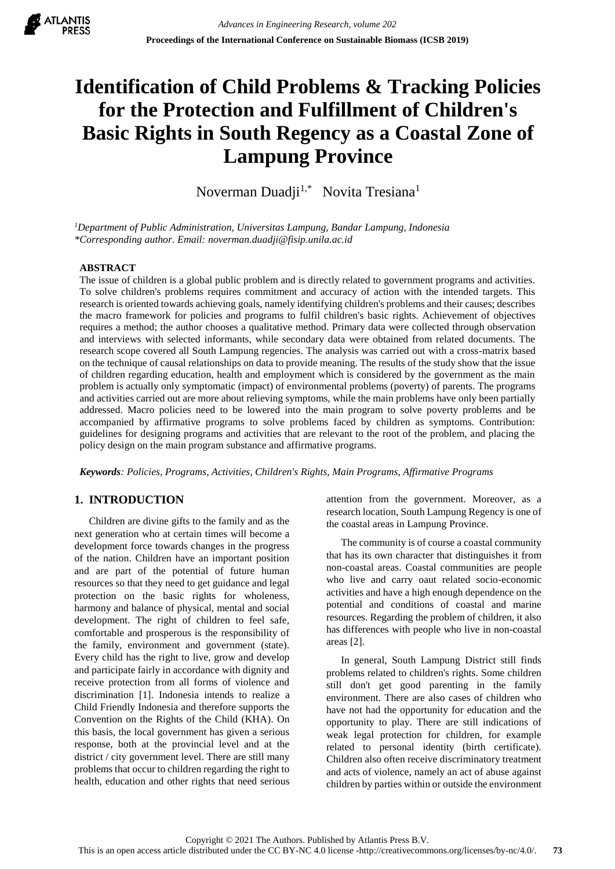

# **Identification of Child Problems & Tracking Policies for the Protection and Fulfillment of Children's Basic Rights in South Regency as a Coastal Zone of Lampung Province**

Noverman Duadji<sup>1,\*</sup> Novita Tresiana<sup>1</sup>

*<sup>1</sup>Department of Public Administration, Universitas Lampung, Bandar Lampung, Indonesia \*Corresponding author. Email: noverman.duadji@fisip.unila.ac.id*

## **ABSTRACT**

The issue of children is a global public problem and is directly related to government programs and activities. To solve children's problems requires commitment and accuracy of action with the intended targets. This research is oriented towards achieving goals, namely identifying children's problems and their causes; describes the macro framework for policies and programs to fulfil children's basic rights. Achievement of objectives requires a method; the author chooses a qualitative method. Primary data were collected through observation and interviews with selected informants, while secondary data were obtained from related documents. The research scope covered all South Lampung regencies. The analysis was carried out with a cross-matrix based on the technique of causal relationships on data to provide meaning. The results of the study show that the issue of children regarding education, health and employment which is considered by the government as the main problem is actually only symptomatic (impact) of environmental problems (poverty) of parents. The programs and activities carried out are more about relieving symptoms, while the main problems have only been partially addressed. Macro policies need to be lowered into the main program to solve poverty problems and be accompanied by affirmative programs to solve problems faced by children as symptoms. Contribution: guidelines for designing programs and activities that are relevant to the root of the problem, and placing the policy design on the main program substance and affirmative programs.

*Keywords: Policies, Programs, Activities, Children's Rights, Main Programs, Affirmative Programs*

# **1. INTRODUCTION**

Children are divine gifts to the family and as the next generation who at certain times will become a development force towards changes in the progress of the nation. Children have an important position and are part of the potential of future human resources so that they need to get guidance and legal protection on the basic rights for wholeness, harmony and balance of physical, mental and social development. The right of children to feel safe, comfortable and prosperous is the responsibility of the family, environment and government (state). Every child has the right to live, grow and develop and participate fairly in accordance with dignity and receive protection from all forms of violence and discrimination [1]. Indonesia intends to realize a Child Friendly Indonesia and therefore supports the Convention on the Rights of the Child (KHA). On this basis, the local government has given a serious response, both at the provincial level and at the district / city government level. There are still many problems that occur to children regarding the right to health, education and other rights that need serious

attention from the government. Moreover, as a research location, South Lampung Regency is one of the coastal areas in Lampung Province.

The community is of course a coastal community that has its own character that distinguishes it from non-coastal areas. Coastal communities are people who live and carry oaut related socio-economic activities and have a high enough dependence on the potential and conditions of coastal and marine resources. Regarding the problem of children, it also has differences with people who live in non-coastal areas [2].

In general, South Lampung District still finds problems related to children's rights. Some children still don't get good parenting in the family environment. There are also cases of children who have not had the opportunity for education and the opportunity to play. There are still indications of weak legal protection for children, for example related to personal identity (birth certificate). Children also often receive discriminatory treatment and acts of violence, namely an act of abuse against children by parties within or outside the environment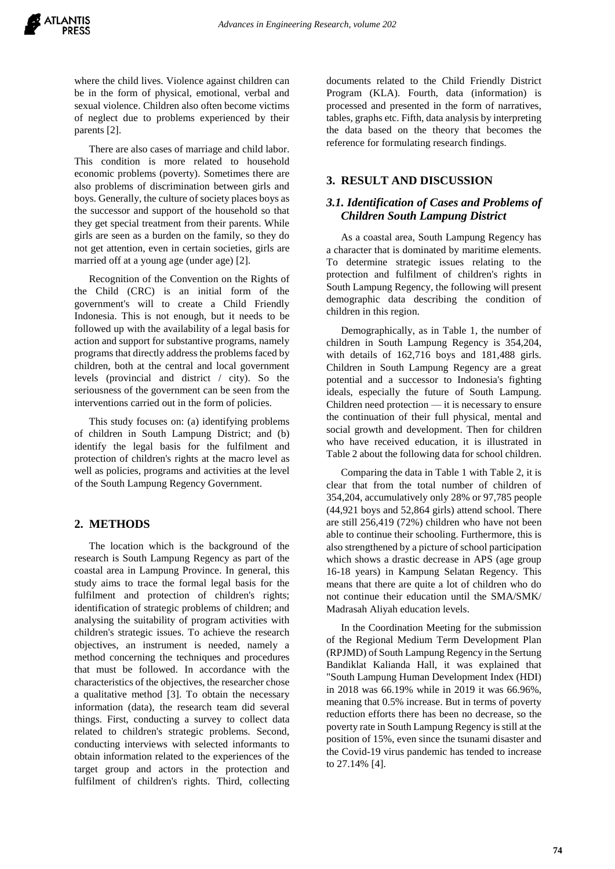where the child lives. Violence against children can be in the form of physical, emotional, verbal and sexual violence. Children also often become victims of neglect due to problems experienced by their parents [2].

There are also cases of marriage and child labor. This condition is more related to household economic problems (poverty). Sometimes there are also problems of discrimination between girls and boys. Generally, the culture of society places boys as the successor and support of the household so that they get special treatment from their parents. While girls are seen as a burden on the family, so they do not get attention, even in certain societies, girls are married off at a young age (under age) [2].

Recognition of the Convention on the Rights of the Child (CRC) is an initial form of the government's will to create a Child Friendly Indonesia. This is not enough, but it needs to be followed up with the availability of a legal basis for action and support for substantive programs, namely programs that directly address the problems faced by children, both at the central and local government levels (provincial and district / city). So the seriousness of the government can be seen from the interventions carried out in the form of policies.

This study focuses on: (a) identifying problems of children in South Lampung District; and (b) identify the legal basis for the fulfilment and protection of children's rights at the macro level as well as policies, programs and activities at the level of the South Lampung Regency Government.

## **2. METHODS**

The location which is the background of the research is South Lampung Regency as part of the coastal area in Lampung Province. In general, this study aims to trace the formal legal basis for the fulfilment and protection of children's rights; identification of strategic problems of children; and analysing the suitability of program activities with children's strategic issues. To achieve the research objectives, an instrument is needed, namely a method concerning the techniques and procedures that must be followed. In accordance with the characteristics of the objectives, the researcher chose a qualitative method [3]. To obtain the necessary information (data), the research team did several things. First, conducting a survey to collect data related to children's strategic problems. Second, conducting interviews with selected informants to obtain information related to the experiences of the target group and actors in the protection and fulfilment of children's rights. Third, collecting

documents related to the Child Friendly District Program (KLA). Fourth, data (information) is processed and presented in the form of narratives, tables, graphs etc. Fifth, data analysis by interpreting the data based on the theory that becomes the reference for formulating research findings.

# **3. RESULT AND DISCUSSION**

## *3.1. Identification of Cases and Problems of Children South Lampung District*

As a coastal area, South Lampung Regency has a character that is dominated by maritime elements. To determine strategic issues relating to the protection and fulfilment of children's rights in South Lampung Regency, the following will present demographic data describing the condition of children in this region.

Demographically, as in Table 1, the number of children in South Lampung Regency is 354,204, with details of 162,716 boys and 181,488 girls. Children in South Lampung Regency are a great potential and a successor to Indonesia's fighting ideals, especially the future of South Lampung. Children need protection — it is necessary to ensure the continuation of their full physical, mental and social growth and development. Then for children who have received education, it is illustrated in Table 2 about the following data for school children.

Comparing the data in Table 1 with Table 2, it is clear that from the total number of children of 354,204, accumulatively only 28% or 97,785 people (44,921 boys and 52,864 girls) attend school. There are still 256,419 (72%) children who have not been able to continue their schooling. Furthermore, this is also strengthened by a picture of school participation which shows a drastic decrease in APS (age group 16-18 years) in Kampung Selatan Regency. This means that there are quite a lot of children who do not continue their education until the SMA/SMK/ Madrasah Aliyah education levels.

In the Coordination Meeting for the submission of the Regional Medium Term Development Plan (RPJMD) of South Lampung Regency in the Sertung Bandiklat Kalianda Hall, it was explained that "South Lampung Human Development Index (HDI) in 2018 was 66.19% while in 2019 it was 66.96%, meaning that 0.5% increase. But in terms of poverty reduction efforts there has been no decrease, so the poverty rate in South Lampung Regency is still at the position of 15%, even since the tsunami disaster and the Covid-19 virus pandemic has tended to increase to 27.14% [4].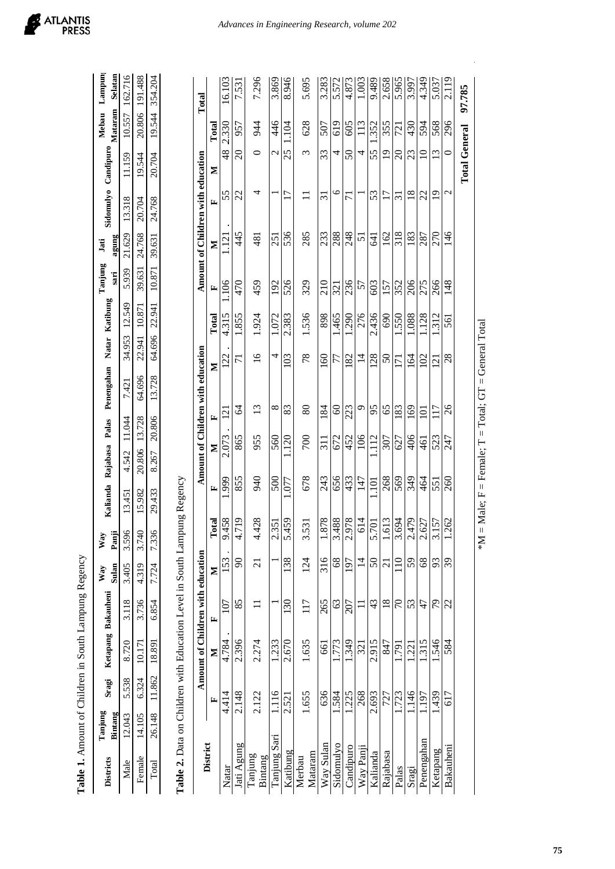| Male                                                                    | 12.043 | 5.538  | 8.720                             | 3.118         | 3.405           | 3.596                  | 13.451 | 4.542           | 11.044          | 7.421                             | 34.953              | 12.549 | 5.939  | 21.629           | 13.318                            | 11.159                 |        | 10.557 162.716 |
|-------------------------------------------------------------------------|--------|--------|-----------------------------------|---------------|-----------------|------------------------|--------|-----------------|-----------------|-----------------------------------|---------------------|--------|--------|------------------|-----------------------------------|------------------------|--------|----------------|
| Female                                                                  | 14.105 | 6.324  | 10.171                            | 3.736         | 4.319           | 3.740                  | 15.982 | 20.806          | 13.728          | 64.696                            | 22.941              | 10.871 | 39.631 | 24.768           | 20.704                            | 19.544                 | 20,806 | 191.488        |
| Total                                                                   | 26.148 | 11.862 | 18.891                            | 6.854         | 7.724           | 7.336                  | 29.433 | 8.267           | 20.806          | 13.728                            | 64.696              | 22.941 | 10.871 | 39.631           | 24.768                            | 20.704                 | 19.544 | 354.204        |
| Table 2. Data on Children with Education Level in South Lampung Regency |        |        |                                   |               |                 |                        |        |                 |                 |                                   |                     |        |        |                  |                                   |                        |        |                |
|                                                                         |        |        | Amount of Children with education |               |                 |                        |        |                 |                 | Amount of Children with education |                     |        |        |                  | Amount of Children with education |                        |        | Total          |
| District                                                                |        | E      | Z                                 | 匞             | Z               | ē<br>Ě                 | E      | Σ               | E               | Z                                 |                     | Total  | E      | Σ                | E                                 | Σ                      | Total  |                |
| Natar                                                                   |        | 4.414  | 4.784                             | 107           | 153             | 8576                   | .999   | 2.073           | $\overline{2}$  |                                   | 122                 | 4.315  | .106   | $\overline{121}$ | 55                                | $\frac{48}{5}$         | 2.330  | 16.103         |
| Jati Agung                                                              |        | 2.148  | 2.396                             | 85            | $\infty$        | $\overline{19}$<br>4.7 | 855    | 865             | 84              |                                   | 71                  | 1.855  | 470    | 445              | 22                                | $\Omega$               | 957    | 7.531          |
| Tanjung<br>Bintang                                                      |        | 2.122  | 2.274                             |               | $\overline{c}$  | 4.428                  | 940    | 955             | $\overline{13}$ |                                   | $\overline{16}$     | 1.924  | 459    | 481              | 4                                 | 0                      | 944    | 7.296          |
| Tanjung Sari                                                            |        | 1.116  | 1.233                             |               |                 | 2.351                  | 500    | 560             | $\infty$        |                                   | 4                   | 1.072  | 192    | 251              |                                   | $\mathbf{\mathcal{L}}$ | 446    | 3.869          |
| Katibung                                                                |        | 2.521  | 2.670                             | 130           | 138             | 5.459                  | .077   | 1.120           | 83              |                                   | 103                 | 2.383  | 526    | 536              | $\overline{17}$                   | 25                     | 1.104  | 8.946          |
| Mataram<br>Merbau                                                       |        | 1.655  | 1.635                             | 117           | 124             | 3.531                  | 678    | 700             | 80              |                                   | 78                  | 1.536  | 329    | 285              |                                   | ξ                      | 628    | 5.695          |
| Way Sulan                                                               |        | 636    | 661                               | 265           | 316             | 1.878                  | 243    | $\overline{11}$ | 184             |                                   | $\mathcal{S}$       | 898    | 210    | 233              | $\overline{31}$                   | 33                     | 507    | 3.283          |
| Sidomulyo                                                               |        | 1.584  | 1.773                             | $\mathcal{S}$ | $\frac{8}{3}$   | 3.488                  | 656    | 672             | $\odot$         |                                   | 77                  | .465   | 321    | 288              | $\circ$                           | 4                      | 619    | 5.572          |
| Candipuro                                                               |        | 1.225  | 1.349                             | 207           | 197             | 2.978                  | 433    | 452             | 223             |                                   | 182                 | .290   | 236    | 248              | $\overline{7}$                    | $\Im$                  | 605    | 4.873          |
| Way Panji                                                               |        | 268    | 321                               |               | $\overline{1}$  | 614                    | 147    | 106             | $\circ$         |                                   | $\vec{v}$           | 276    | 57     | 51               |                                   | 4                      | 113    | 1.003          |
| Kalianda                                                                |        | 2.693  | 2.915                             | $\frac{4}{3}$ | $\overline{50}$ | 5.701                  | $\Xi$  | 1.112           | 95              |                                   | $\dot{\sim}$<br>128 | 436    | 603    | 641              | 53                                | 55                     | 1.352  | 9.489          |
| Rajabasa                                                                |        | 727    | 847                               | 18            | $\overline{c}$  | 1.613                  | 268    | 307             | 65              |                                   | $50\,$              | 690    | 157    | 162              | 17                                | $\overline{1}$         | 355    | 2.658          |
| Palas                                                                   |        | 1.723  | 1.791                             | 70            | $\approx$       | 3.694                  | 569    | 627             | 183             |                                   | $\overline{7}$      | 1.550  | 352    | 318              | ಸ                                 | $\Omega$               | 721    | 5.965          |
| Sragi                                                                   |        | 1.146  | 1.221                             | 53            | 59              | 2.479                  | 349    | 406             | 169             |                                   | 164                 | 1.088  | 206    | 183              | $\frac{8}{18}$                    | 23                     | 430    | 3.997          |
| Penengahan                                                              |        | 1.197  | 1.315                             | 47            | 68              | 2.627                  | 464    | 461             | $\Xi$           |                                   | 102                 | 1.128  | 275    | 287              | 22                                | $\overline{10}$        | 594    | 4.349          |
| Ketapang                                                                |        | 1.439  | 1.546                             | 79            | 93              | 57<br>$\frac{1}{3}$    | 551    | 523             | 117             |                                   | $\overline{c}$      | .312   | 266    | 270              | $\overline{19}$                   | 13                     | 568    | 5.037          |
| Bakauheni                                                               |        | 617    | 584                               | 22            | 39              | 1.262                  | 260    | 247             | 26              |                                   | $^{28}$             | 561    | 148    | 146              | $\mathbf{C}$                      | $\circ$                | 296    | 2.119          |
|                                                                         |        |        |                                   |               |                 |                        |        |                 |                 |                                   |                     |        |        |                  |                                   | <b>Total General</b>   |        | 97.785         |

Table 1. Amount of Children in South Lampung Regency **Table 1.** Amount of Children in South Lampung Regency

**Districts**

**Tanjung Bintang**

**Sragi Ketapang Bakauheni**

Sragi

Ketapang Bakauheni

**Way Sulan**

**Way Panji**

**Kalianda Rajabasa Palas Penengahan Natar Katibung**

Kalianda Rajabasa Palas Penengahan Natar Katibung

**Tanjung sari**

**Jati agung**

**Sidomulyo Candipuro**

Sidomulyo Candipuro Mataram

**Mebau** 

**Lampung Selatan**

# **75**

 $*M = Male; F = Female; T = Total; GT = General Total$ 

\*M = Male;  $F =$  Female;  $T =$  Total;  $GT =$  General Total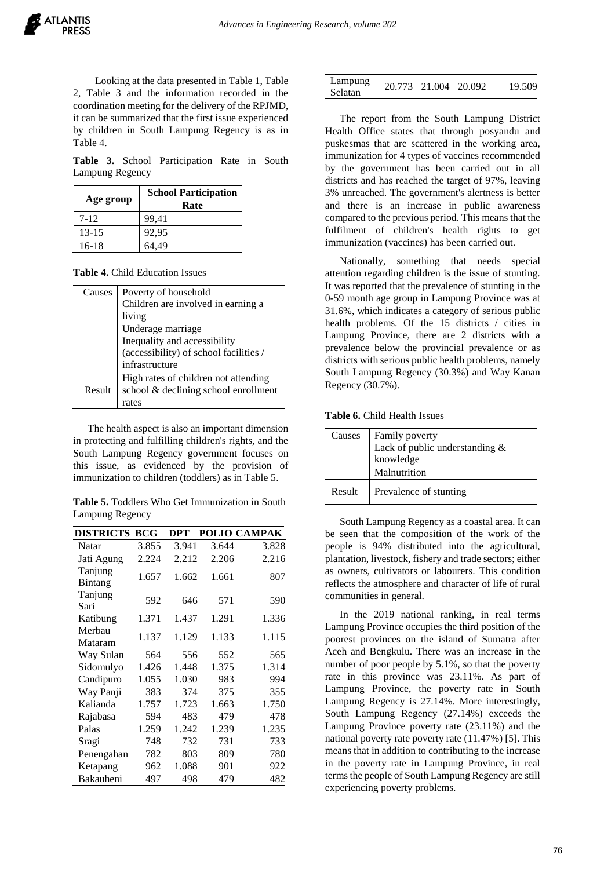Looking at the data presented in Table 1, Table 2, Table 3 and the information recorded in the coordination meeting for the delivery of the RPJMD, it can be summarized that the first issue experienced by children in South Lampung Regency is as in Table 4.

**Table 3.** School Participation Rate in South Lampung Regency

| Age group | <b>School Participation</b><br>Rate |
|-----------|-------------------------------------|
| 7-12      | 99.41                               |
| $13 - 15$ | 92,95                               |
| 16-18     | .49                                 |

**Table 4.** Child Education Issues

| Causes | Poverty of household<br>Children are involved in earning a<br>living<br>Underage marriage<br>Inequality and accessibility<br>(accessibility) of school facilities /<br>infrastructure |
|--------|---------------------------------------------------------------------------------------------------------------------------------------------------------------------------------------|
| Result | High rates of children not attending<br>school & declining school enrollment<br>rates                                                                                                 |

The health aspect is also an important dimension in protecting and fulfilling children's rights, and the South Lampung Regency government focuses on this issue, as evidenced by the provision of immunization to children (toddlers) as in Table 5.

**Table 5.** Toddlers Who Get Immunization in South Lampung Regency

| <b>DISTRICTS</b>   | BCG   | DPT   |       | POLIO CAMPAK |
|--------------------|-------|-------|-------|--------------|
| Natar              | 3.855 | 3.941 | 3.644 | 3.828        |
| Jati Agung         | 2.224 | 2.212 | 2.206 | 2.216        |
| Tanjung<br>Bintang | 1.657 | 1.662 | 1.661 | 807          |
| Tanjung<br>Sari    | 592   | 646   | 571   | 590          |
| Katibung           | 1.371 | 1.437 | 1.291 | 1.336        |
| Merbau<br>Mataram  | 1.137 | 1.129 | 1.133 | 1.115        |
| Way Sulan          | 564   | 556   | 552   | 565          |
| Sidomulyo          | 1.426 | 1.448 | 1.375 | 1.314        |
| Candipuro          | 1.055 | 1.030 | 983   | 994          |
| Way Panji          | 383   | 374   | 375   | 355          |
| Kalianda           | 1.757 | 1.723 | 1.663 | 1.750        |
| Rajabasa           | 594   | 483   | 479   | 478          |
| Palas              | 1.259 | 1.242 | 1.239 | 1.235        |
| Sragi              | 748   | 732   | 731   | 733          |
| Penengahan         | 782   | 803   | 809   | 780          |
| Ketapang           | 962   | 1.088 | 901   | 922          |
| Bakauheni          | 497   | 498   | 479   | 482          |

| Lampung | 20.773 21.004 20.092 | 19.509 |
|---------|----------------------|--------|
| Selatan |                      |        |

The report from the South Lampung District Health Office states that through posyandu and puskesmas that are scattered in the working area, immunization for 4 types of vaccines recommended by the government has been carried out in all districts and has reached the target of 97%, leaving 3% unreached. The government's alertness is better and there is an increase in public awareness compared to the previous period. This means that the fulfilment of children's health rights to get immunization (vaccines) has been carried out.

Nationally, something that needs special attention regarding children is the issue of stunting. It was reported that the prevalence of stunting in the 0-59 month age group in Lampung Province was at 31.6%, which indicates a category of serious public health problems. Of the 15 districts / cities in Lampung Province, there are 2 districts with a prevalence below the provincial prevalence or as districts with serious public health problems, namely South Lampung Regency (30.3%) and Way Kanan Regency (30.7%).

**Table 6.** Child Health Issues

|        | Causes Family poverty<br>Lack of public understanding &<br>knowledge<br>Malnutrition |
|--------|--------------------------------------------------------------------------------------|
| Result | Prevalence of stunting                                                               |

South Lampung Regency as a coastal area. It can be seen that the composition of the work of the people is 94% distributed into the agricultural, plantation, livestock, fishery and trade sectors; either as owners, cultivators or labourers. This condition reflects the atmosphere and character of life of rural communities in general.

In the 2019 national ranking, in real terms Lampung Province occupies the third position of the poorest provinces on the island of Sumatra after Aceh and Bengkulu. There was an increase in the number of poor people by 5.1%, so that the poverty rate in this province was 23.11%. As part of Lampung Province, the poverty rate in South Lampung Regency is 27.14%. More interestingly, South Lampung Regency (27.14%) exceeds the Lampung Province poverty rate (23.11%) and the national poverty rate poverty rate (11.47%) [5]. This means that in addition to contributing to the increase in the poverty rate in Lampung Province, in real terms the people of South Lampung Regency are still experiencing poverty problems.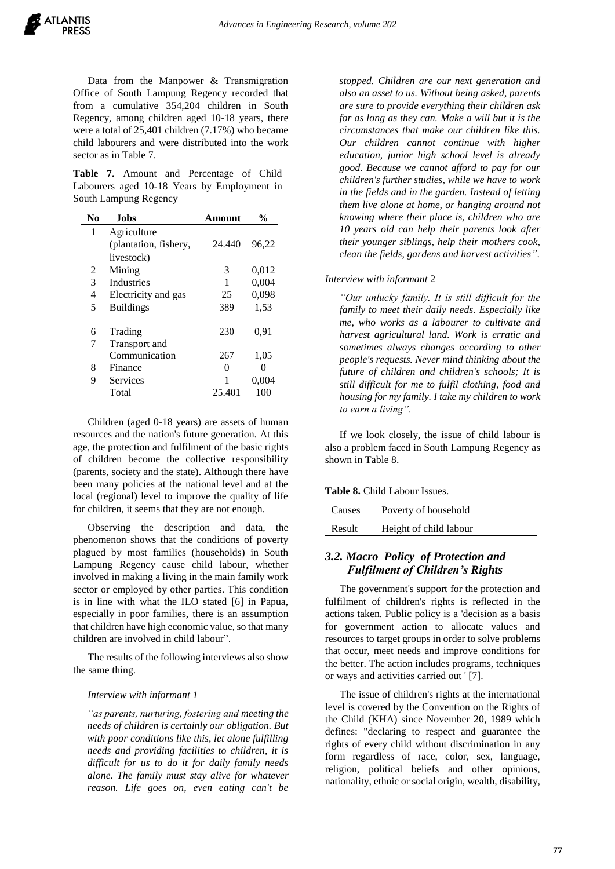Data from the Manpower & Transmigration Office of South Lampung Regency recorded that from a cumulative 354,204 children in South Regency, among children aged 10-18 years, there were a total of 25,401 children (7.17%) who became child labourers and were distributed into the work sector as in Table 7.

**Table 7.** Amount and Percentage of Child Labourers aged 10-18 Years by Employment in South Lampung Regency

| No | Jobs                  | Amount | %     |
|----|-----------------------|--------|-------|
| 1  | Agriculture           |        |       |
|    | (plantation, fishery, | 24.440 | 96,22 |
|    | livestock)            |        |       |
| 2  | Mining                | 3      | 0,012 |
| 3  | <b>Industries</b>     | 1      | 0,004 |
| 4  | Electricity and gas   | 25     | 0,098 |
| 5  | <b>Buildings</b>      | 389    | 1,53  |
|    |                       |        |       |
| 6  | Trading               | 230    | 0.91  |
| 7  | Transport and         |        |       |
|    | Communication         | 267    | 1,05  |
| 8  | Finance               | 0      | 0     |
| 9  | Services              | 1      | 0,004 |
|    | Total                 | 25.401 | 100   |

Children (aged 0-18 years) are assets of human resources and the nation's future generation. At this age, the protection and fulfilment of the basic rights of children become the collective responsibility (parents, society and the state). Although there have been many policies at the national level and at the local (regional) level to improve the quality of life for children, it seems that they are not enough.

Observing the description and data, the phenomenon shows that the conditions of poverty plagued by most families (households) in South Lampung Regency cause child labour, whether involved in making a living in the main family work sector or employed by other parties. This condition is in line with what the ILO stated [6] in Papua, especially in poor families, there is an assumption that children have high economic value, so that many children are involved in child labour".

The results of the following interviews also show the same thing.

#### *Interview with informant 1*

*"as parents, nurturing, fostering and meeting the needs of children is certainly our obligation. But with poor conditions like this, let alone fulfilling needs and providing facilities to children, it is difficult for us to do it for daily family needs alone. The family must stay alive for whatever reason. Life goes on, even eating can't be* 

*stopped. Children are our next generation and also an asset to us. Without being asked, parents are sure to provide everything their children ask for as long as they can. Make a will but it is the circumstances that make our children like this. Our children cannot continue with higher education, junior high school level is already good. Because we cannot afford to pay for our children's further studies, while we have to work in the fields and in the garden. Instead of letting them live alone at home, or hanging around not knowing where their place is, children who are 10 years old can help their parents look after their younger siblings, help their mothers cook, clean the fields, gardens and harvest activities"*.

*Interview with informant* 2

*"Our unlucky family. It is still difficult for the family to meet their daily needs. Especially like me, who works as a labourer to cultivate and harvest agricultural land. Work is erratic and sometimes always changes according to other people's requests. Never mind thinking about the future of children and children's schools; It is still difficult for me to fulfil clothing, food and housing for my family. I take my children to work to earn a living".*

If we look closely, the issue of child labour is also a problem faced in South Lampung Regency as shown in Table 8.

**Table 8.** Child Labour Issues.

| Causes | Poverty of household   |
|--------|------------------------|
| Result | Height of child labour |

# *3.2. Macro Policy of Protection and Fulfilment of Children's Rights*

The government's support for the protection and fulfilment of children's rights is reflected in the actions taken. Public policy is a 'decision as a basis for government action to allocate values and resources to target groups in order to solve problems that occur, meet needs and improve conditions for the better. The action includes programs, techniques or ways and activities carried out ' [7].

The issue of children's rights at the international level is covered by the Convention on the Rights of the Child (KHA) since November 20, 1989 which defines: "declaring to respect and guarantee the rights of every child without discrimination in any form regardless of race, color, sex, language, religion, political beliefs and other opinions, nationality, ethnic or social origin, wealth, disability,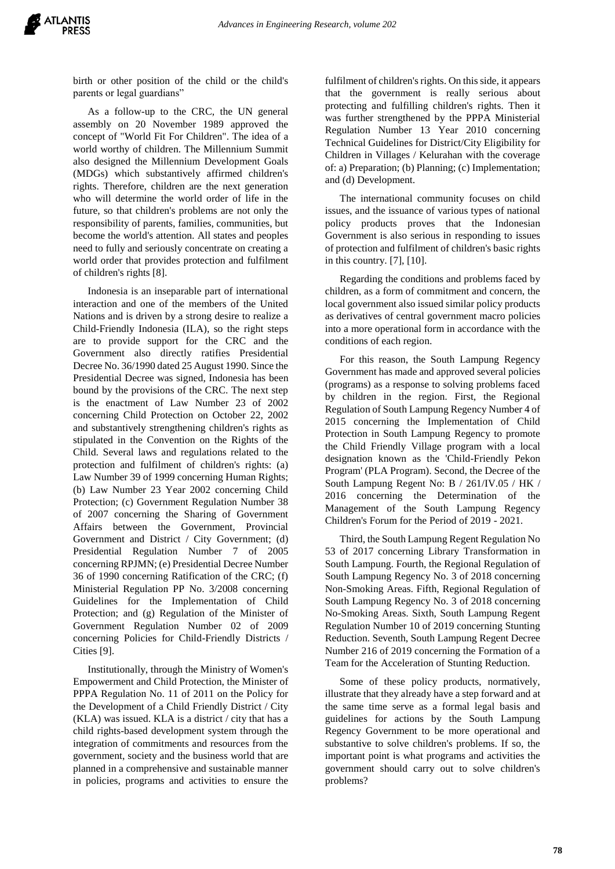

birth or other position of the child or the child's parents or legal guardians"

As a follow-up to the CRC, the UN general assembly on 20 November 1989 approved the concept of "World Fit For Children". The idea of a world worthy of children. The Millennium Summit also designed the Millennium Development Goals (MDGs) which substantively affirmed children's rights. Therefore, children are the next generation who will determine the world order of life in the future, so that children's problems are not only the responsibility of parents, families, communities, but become the world's attention. All states and peoples need to fully and seriously concentrate on creating a world order that provides protection and fulfilment of children's rights [8].

Indonesia is an inseparable part of international interaction and one of the members of the United Nations and is driven by a strong desire to realize a Child-Friendly Indonesia (ILA), so the right steps are to provide support for the CRC and the Government also directly ratifies Presidential Decree No. 36/1990 dated 25 August 1990. Since the Presidential Decree was signed, Indonesia has been bound by the provisions of the CRC. The next step is the enactment of Law Number 23 of 2002 concerning Child Protection on October 22, 2002 and substantively strengthening children's rights as stipulated in the Convention on the Rights of the Child. Several laws and regulations related to the protection and fulfilment of children's rights: (a) Law Number 39 of 1999 concerning Human Rights; (b) Law Number 23 Year 2002 concerning Child Protection; (c) Government Regulation Number 38 of 2007 concerning the Sharing of Government Affairs between the Government, Provincial Government and District / City Government; (d) Presidential Regulation Number 7 of 2005 concerning RPJMN; (e) Presidential Decree Number 36 of 1990 concerning Ratification of the CRC; (f) Ministerial Regulation PP No. 3/2008 concerning Guidelines for the Implementation of Child Protection; and (g) Regulation of the Minister of Government Regulation Number 02 of 2009 concerning Policies for Child-Friendly Districts / Cities [9].

Institutionally, through the Ministry of Women's Empowerment and Child Protection, the Minister of PPPA Regulation No. 11 of 2011 on the Policy for the Development of a Child Friendly District / City  $(KLA)$  was issued. KLA is a district / city that has a child rights-based development system through the integration of commitments and resources from the government, society and the business world that are planned in a comprehensive and sustainable manner in policies, programs and activities to ensure the

fulfilment of children's rights. On this side, it appears that the government is really serious about protecting and fulfilling children's rights. Then it was further strengthened by the PPPA Ministerial Regulation Number 13 Year 2010 concerning Technical Guidelines for District/City Eligibility for Children in Villages / Kelurahan with the coverage of: a) Preparation; (b) Planning; (c) Implementation; and (d) Development.

The international community focuses on child issues, and the issuance of various types of national policy products proves that the Indonesian Government is also serious in responding to issues of protection and fulfilment of children's basic rights in this country. [7], [10].

Regarding the conditions and problems faced by children, as a form of commitment and concern, the local government also issued similar policy products as derivatives of central government macro policies into a more operational form in accordance with the conditions of each region.

For this reason, the South Lampung Regency Government has made and approved several policies (programs) as a response to solving problems faced by children in the region. First, the Regional Regulation of South Lampung Regency Number 4 of 2015 concerning the Implementation of Child Protection in South Lampung Regency to promote the Child Friendly Village program with a local designation known as the 'Child-Friendly Pekon Program' (PLA Program). Second, the Decree of the South Lampung Regent No: B / 261/IV.05 / HK / 2016 concerning the Determination of the Management of the South Lampung Regency Children's Forum for the Period of 2019 - 2021.

Third, the South Lampung Regent Regulation No 53 of 2017 concerning Library Transformation in South Lampung. Fourth, the Regional Regulation of South Lampung Regency No. 3 of 2018 concerning Non-Smoking Areas. Fifth, Regional Regulation of South Lampung Regency No. 3 of 2018 concerning No-Smoking Areas. Sixth, South Lampung Regent Regulation Number 10 of 2019 concerning Stunting Reduction. Seventh, South Lampung Regent Decree Number 216 of 2019 concerning the Formation of a Team for the Acceleration of Stunting Reduction.

Some of these policy products, normatively, illustrate that they already have a step forward and at the same time serve as a formal legal basis and guidelines for actions by the South Lampung Regency Government to be more operational and substantive to solve children's problems. If so, the important point is what programs and activities the government should carry out to solve children's problems?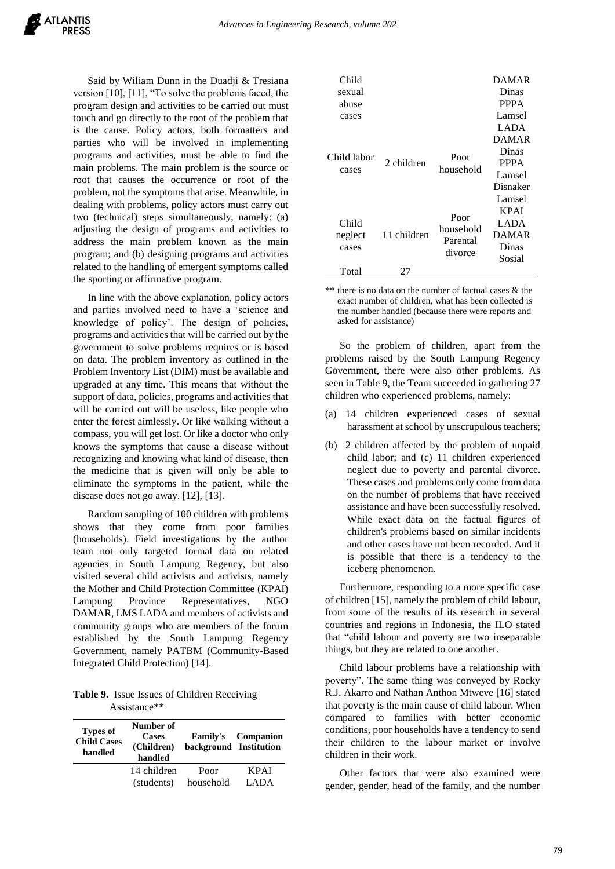Said by Wiliam Dunn in the Duadji & Tresiana version [10], [11], "To solve the problems faced, the program design and activities to be carried out must touch and go directly to the root of the problem that is the cause. Policy actors, both formatters and parties who will be involved in implementing programs and activities, must be able to find the main problems. The main problem is the source or root that causes the occurrence or root of the problem, not the symptoms that arise. Meanwhile, in dealing with problems, policy actors must carry out two (technical) steps simultaneously, namely: (a) adjusting the design of programs and activities to address the main problem known as the main program; and (b) designing programs and activities related to the handling of emergent symptoms called the sporting or affirmative program.

In line with the above explanation, policy actors and parties involved need to have a 'science and knowledge of policy'. The design of policies, programs and activities that will be carried out by the government to solve problems requires or is based on data. The problem inventory as outlined in the Problem Inventory List (DIM) must be available and upgraded at any time. This means that without the support of data, policies, programs and activities that will be carried out will be useless, like people who enter the forest aimlessly. Or like walking without a compass, you will get lost. Or like a doctor who only knows the symptoms that cause a disease without recognizing and knowing what kind of disease, then the medicine that is given will only be able to eliminate the symptoms in the patient, while the disease does not go away. [12], [13].

Random sampling of 100 children with problems shows that they come from poor families (households). Field investigations by the author team not only targeted formal data on related agencies in South Lampung Regency, but also visited several child activists and activists, namely the Mother and Child Protection Committee (KPAI) Lampung Province Representatives, NGO DAMAR, LMS LADA and members of activists and community groups who are members of the forum established by the South Lampung Regency Government, namely PATBM (Community-Based Integrated Child Protection) [14].

**Table 9.** Issue Issues of Children Receiving Assistance\*\*

| <b>Types of</b><br><b>Child Cases</b><br>handled | Number of<br><b>Cases</b><br>(Children)<br>handled | background Institution | <b>Family's</b> Companion |
|--------------------------------------------------|----------------------------------------------------|------------------------|---------------------------|
|                                                  | 14 children                                        | Poor                   | <b>KPAI</b>               |
|                                                  | (students)                                         | household              | LADA                      |

| Child       |             |                     | <b>DAMAR</b> |
|-------------|-------------|---------------------|--------------|
| sexual      |             |                     | Dinas        |
| abuse       |             |                     | <b>PPPA</b>  |
| cases       |             |                     | Lamsel       |
|             |             |                     | <b>LADA</b>  |
|             |             |                     | <b>DAMAR</b> |
| Child labor |             |                     | Dinas        |
|             | 2 children  | Poor<br>household   | <b>PPPA</b>  |
| cases       |             |                     | Lamsel       |
|             |             |                     | Disnaker     |
|             |             |                     | Lamsel       |
|             |             |                     | <b>KPAI</b>  |
| Child       |             | Poor<br>household   | LADA         |
| neglect     | 11 children |                     | <b>DAMAR</b> |
| cases       |             | Parental<br>divorce | Dinas        |
|             |             |                     | Sosial       |
| Total       | 27          |                     |              |

\*\* there is no data on the number of factual cases & the exact number of children, what has been collected is the number handled (because there were reports and asked for assistance)

So the problem of children, apart from the problems raised by the South Lampung Regency Government, there were also other problems. As seen in Table 9, the Team succeeded in gathering 27 children who experienced problems, namely:

- (a) 14 children experienced cases of sexual harassment at school by unscrupulous teachers;
- (b) 2 children affected by the problem of unpaid child labor; and (c) 11 children experienced neglect due to poverty and parental divorce. These cases and problems only come from data on the number of problems that have received assistance and have been successfully resolved. While exact data on the factual figures of children's problems based on similar incidents and other cases have not been recorded. And it is possible that there is a tendency to the iceberg phenomenon.

Furthermore, responding to a more specific case of children [15], namely the problem of child labour, from some of the results of its research in several countries and regions in Indonesia, the ILO stated that "child labour and poverty are two inseparable things, but they are related to one another.

Child labour problems have a relationship with poverty". The same thing was conveyed by Rocky R.J. Akarro and Nathan Anthon Mtweve [16] stated that poverty is the main cause of child labour. When compared to families with better economic conditions, poor households have a tendency to send their children to the labour market or involve children in their work.

Other factors that were also examined were gender, gender, head of the family, and the number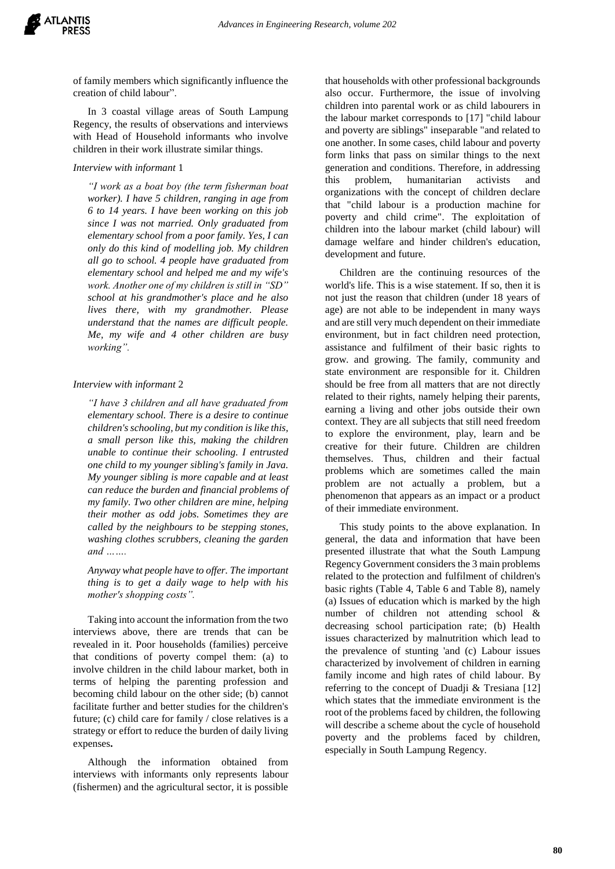

of family members which significantly influence the creation of child labour".

In 3 coastal village areas of South Lampung Regency, the results of observations and interviews with Head of Household informants who involve children in their work illustrate similar things.

#### *Interview with informant* 1

*"I work as a boat boy (the term fisherman boat worker). I have 5 children, ranging in age from 6 to 14 years. I have been working on this job since I was not married. Only graduated from elementary school from a poor family. Yes, I can only do this kind of modelling job. My children all go to school. 4 people have graduated from elementary school and helped me and my wife's work. Another one of my children is still in "SD" school at his grandmother's place and he also lives there, with my grandmother. Please understand that the names are difficult people. Me, my wife and 4 other children are busy working".*

#### *Interview with informant* 2

*"I have 3 children and all have graduated from elementary school. There is a desire to continue children's schooling, but my condition is like this, a small person like this, making the children unable to continue their schooling. I entrusted one child to my younger sibling's family in Java. My younger sibling is more capable and at least can reduce the burden and financial problems of my family. Two other children are mine, helping their mother as odd jobs. Sometimes they are called by the neighbours to be stepping stones, washing clothes scrubbers, cleaning the garden and …….*

*Anyway what people have to offer. The important thing is to get a daily wage to help with his mother's shopping costs".*

Taking into account the information from the two interviews above, there are trends that can be revealed in it. Poor households (families) perceive that conditions of poverty compel them: (a) to involve children in the child labour market, both in terms of helping the parenting profession and becoming child labour on the other side; (b) cannot facilitate further and better studies for the children's future; (c) child care for family / close relatives is a strategy or effort to reduce the burden of daily living expenses**.**

Although the information obtained from interviews with informants only represents labour (fishermen) and the agricultural sector, it is possible

that households with other professional backgrounds also occur. Furthermore, the issue of involving children into parental work or as child labourers in the labour market corresponds to [17] "child labour and poverty are siblings" inseparable "and related to one another. In some cases, child labour and poverty form links that pass on similar things to the next generation and conditions. Therefore, in addressing this problem, humanitarian activists and organizations with the concept of children declare that "child labour is a production machine for poverty and child crime". The exploitation of children into the labour market (child labour) will damage welfare and hinder children's education, development and future.

Children are the continuing resources of the world's life. This is a wise statement. If so, then it is not just the reason that children (under 18 years of age) are not able to be independent in many ways and are still very much dependent on their immediate environment, but in fact children need protection, assistance and fulfilment of their basic rights to grow. and growing. The family, community and state environment are responsible for it. Children should be free from all matters that are not directly related to their rights, namely helping their parents, earning a living and other jobs outside their own context. They are all subjects that still need freedom to explore the environment, play, learn and be creative for their future. Children are children themselves. Thus, children and their factual problems which are sometimes called the main problem are not actually a problem, but a phenomenon that appears as an impact or a product of their immediate environment.

This study points to the above explanation. In general, the data and information that have been presented illustrate that what the South Lampung Regency Government considers the 3 main problems related to the protection and fulfilment of children's basic rights (Table 4, Table 6 and Table 8), namely (a) Issues of education which is marked by the high number of children not attending school & decreasing school participation rate; (b) Health issues characterized by malnutrition which lead to the prevalence of stunting 'and (c) Labour issues characterized by involvement of children in earning family income and high rates of child labour. By referring to the concept of Duadji & Tresiana [12] which states that the immediate environment is the root of the problems faced by children, the following will describe a scheme about the cycle of household poverty and the problems faced by children, especially in South Lampung Regency.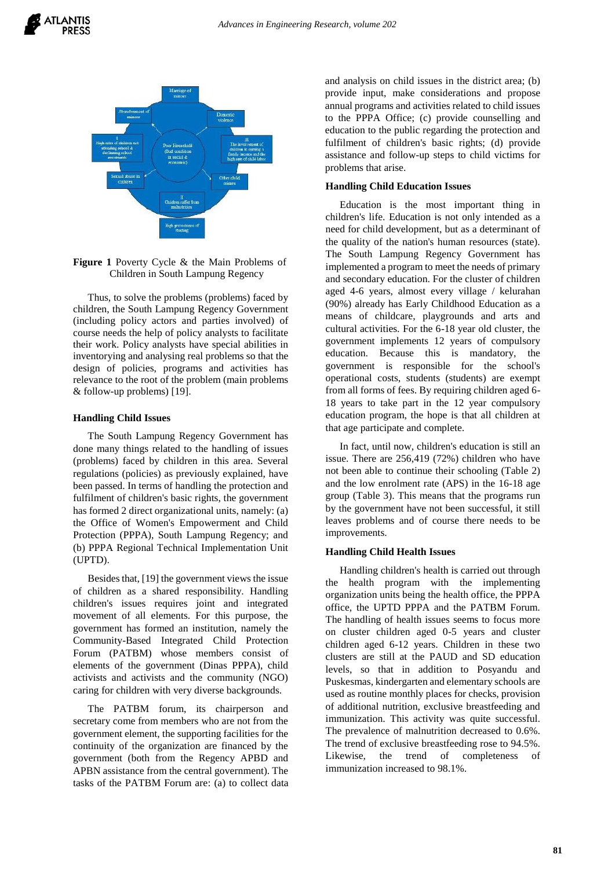

**Figure 1** Poverty Cycle & the Main Problems of Children in South Lampung Regency

Thus, to solve the problems (problems) faced by children, the South Lampung Regency Government (including policy actors and parties involved) of course needs the help of policy analysts to facilitate their work. Policy analysts have special abilities in inventorying and analysing real problems so that the design of policies, programs and activities has relevance to the root of the problem (main problems & follow-up problems) [19].

#### **Handling Child Issues**

The South Lampung Regency Government has done many things related to the handling of issues (problems) faced by children in this area. Several regulations (policies) as previously explained, have been passed. In terms of handling the protection and fulfilment of children's basic rights, the government has formed 2 direct organizational units, namely: (a) the Office of Women's Empowerment and Child Protection (PPPA), South Lampung Regency; and (b) PPPA Regional Technical Implementation Unit (UPTD).

Besides that, [19] the government views the issue of children as a shared responsibility. Handling children's issues requires joint and integrated movement of all elements. For this purpose, the government has formed an institution, namely the Community-Based Integrated Child Protection Forum (PATBM) whose members consist of elements of the government (Dinas PPPA), child activists and activists and the community (NGO) caring for children with very diverse backgrounds.

The PATBM forum, its chairperson and secretary come from members who are not from the government element, the supporting facilities for the continuity of the organization are financed by the government (both from the Regency APBD and APBN assistance from the central government). The tasks of the PATBM Forum are: (a) to collect data and analysis on child issues in the district area; (b) provide input, make considerations and propose annual programs and activities related to child issues to the PPPA Office; (c) provide counselling and education to the public regarding the protection and fulfilment of children's basic rights; (d) provide assistance and follow-up steps to child victims for problems that arise.

#### **Handling Child Education Issues**

Education is the most important thing in children's life. Education is not only intended as a need for child development, but as a determinant of the quality of the nation's human resources (state). The South Lampung Regency Government has implemented a program to meet the needs of primary and secondary education. For the cluster of children aged 4-6 years, almost every village / kelurahan (90%) already has Early Childhood Education as a means of childcare, playgrounds and arts and cultural activities. For the 6-18 year old cluster, the government implements 12 years of compulsory education. Because this is mandatory, the government is responsible for the school's operational costs, students (students) are exempt from all forms of fees. By requiring children aged 6- 18 years to take part in the 12 year compulsory education program, the hope is that all children at that age participate and complete.

In fact, until now, children's education is still an issue. There are 256,419 (72%) children who have not been able to continue their schooling (Table 2) and the low enrolment rate (APS) in the 16-18 age group (Table 3). This means that the programs run by the government have not been successful, it still leaves problems and of course there needs to be improvements.

#### **Handling Child Health Issues**

Handling children's health is carried out through the health program with the implementing organization units being the health office, the PPPA office, the UPTD PPPA and the PATBM Forum. The handling of health issues seems to focus more on cluster children aged 0-5 years and cluster children aged 6-12 years. Children in these two clusters are still at the PAUD and SD education levels, so that in addition to Posyandu and Puskesmas, kindergarten and elementary schools are used as routine monthly places for checks, provision of additional nutrition, exclusive breastfeeding and immunization. This activity was quite successful. The prevalence of malnutrition decreased to 0.6%. The trend of exclusive breastfeeding rose to 94.5%. Likewise, the trend of completeness of immunization increased to 98.1%.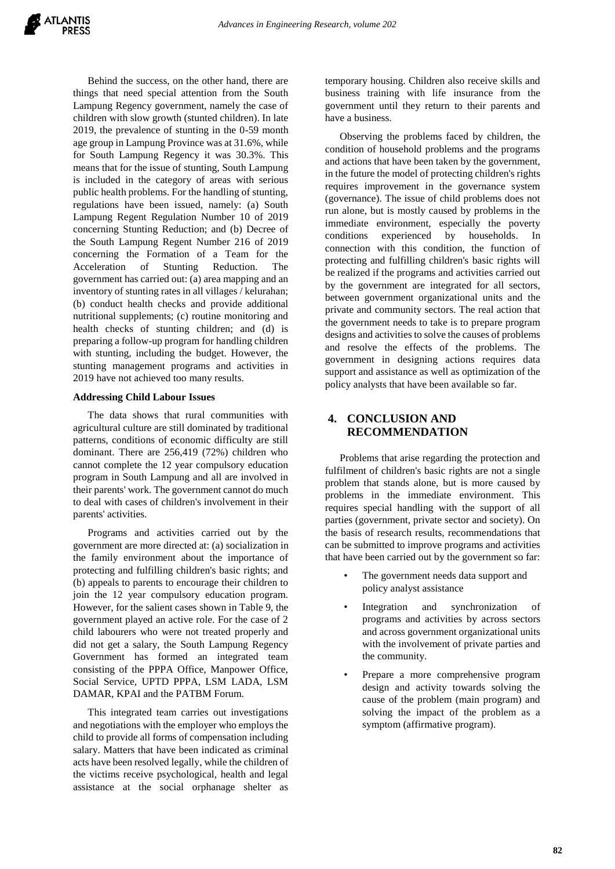Behind the success, on the other hand, there are things that need special attention from the South Lampung Regency government, namely the case of children with slow growth (stunted children). In late 2019, the prevalence of stunting in the 0-59 month age group in Lampung Province was at 31.6%, while for South Lampung Regency it was 30.3%. This means that for the issue of stunting, South Lampung is included in the category of areas with serious public health problems. For the handling of stunting, regulations have been issued, namely: (a) South Lampung Regent Regulation Number 10 of 2019 concerning Stunting Reduction; and (b) Decree of the South Lampung Regent Number 216 of 2019 concerning the Formation of a Team for the Acceleration of Stunting Reduction. The government has carried out: (a) area mapping and an inventory of stunting rates in all villages / kelurahan; (b) conduct health checks and provide additional nutritional supplements; (c) routine monitoring and health checks of stunting children; and (d) is preparing a follow-up program for handling children with stunting, including the budget. However, the stunting management programs and activities in 2019 have not achieved too many results.

#### **Addressing Child Labour Issues**

The data shows that rural communities with agricultural culture are still dominated by traditional patterns, conditions of economic difficulty are still dominant. There are 256,419 (72%) children who cannot complete the 12 year compulsory education program in South Lampung and all are involved in their parents' work. The government cannot do much to deal with cases of children's involvement in their parents' activities.

Programs and activities carried out by the government are more directed at: (a) socialization in the family environment about the importance of protecting and fulfilling children's basic rights; and (b) appeals to parents to encourage their children to join the 12 year compulsory education program. However, for the salient cases shown in Table 9, the government played an active role. For the case of 2 child labourers who were not treated properly and did not get a salary, the South Lampung Regency Government has formed an integrated team consisting of the PPPA Office, Manpower Office, Social Service, UPTD PPPA, LSM LADA, LSM DAMAR, KPAI and the PATBM Forum.

This integrated team carries out investigations and negotiations with the employer who employs the child to provide all forms of compensation including salary. Matters that have been indicated as criminal acts have been resolved legally, while the children of the victims receive psychological, health and legal assistance at the social orphanage shelter as

temporary housing. Children also receive skills and business training with life insurance from the government until they return to their parents and have a business.

Observing the problems faced by children, the condition of household problems and the programs and actions that have been taken by the government, in the future the model of protecting children's rights requires improvement in the governance system (governance). The issue of child problems does not run alone, but is mostly caused by problems in the immediate environment, especially the poverty conditions experienced by households. In connection with this condition, the function of protecting and fulfilling children's basic rights will be realized if the programs and activities carried out by the government are integrated for all sectors, between government organizational units and the private and community sectors. The real action that the government needs to take is to prepare program designs and activities to solve the causes of problems and resolve the effects of the problems. The government in designing actions requires data support and assistance as well as optimization of the policy analysts that have been available so far.

# **4. CONCLUSION AND RECOMMENDATION**

Problems that arise regarding the protection and fulfilment of children's basic rights are not a single problem that stands alone, but is more caused by problems in the immediate environment. This requires special handling with the support of all parties (government, private sector and society). On the basis of research results, recommendations that can be submitted to improve programs and activities that have been carried out by the government so far:

- The government needs data support and policy analyst assistance
- Integration and synchronization of programs and activities by across sectors and across government organizational units with the involvement of private parties and the community.
- Prepare a more comprehensive program design and activity towards solving the cause of the problem (main program) and solving the impact of the problem as a symptom (affirmative program).